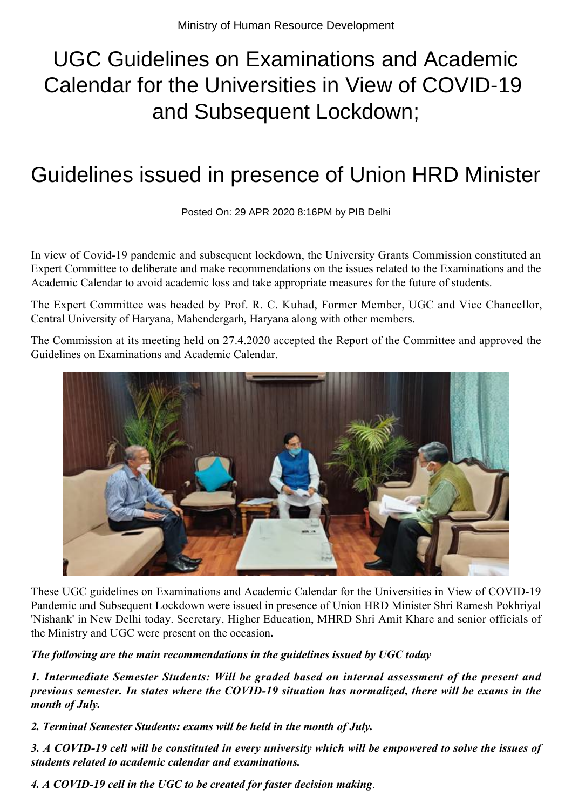# UGC Guidelines on Examinations and Academic Calendar for the Universities in View of COVID-19 and Subsequent Lockdown;

## Guidelines issued in presence of Union HRD Minister

Posted On: 29 APR 2020 8:16PM by PIB Delhi

In view of Covid-19 pandemic and subsequent lockdown, the University Grants Commission constituted an Expert Committee to deliberate and make recommendations on the issues related to the Examinations and the Academic Calendar to avoid academic loss and take appropriate measures for the future of students.

The Expert Committee was headed by Prof. R. C. Kuhad, Former Member, UGC and Vice Chancellor, Central University of Haryana, Mahendergarh, Haryana along with other members.

The Commission at its meeting held on 27.4.2020 accepted the Report of the Committee and approved the Guidelines on Examinations and Academic Calendar.



These UGC guidelines on Examinations and Academic Calendar for the Universities in View of COVID-19 Pandemic and Subsequent Lockdown were issued in presence of Union HRD Minister Shri Ramesh Pokhriyal 'Nishank' in New Delhi today. Secretary, Higher Education, MHRD Shri Amit Khare and senior officials of the Ministry and UGC were present on the occasion**.**

*The following are the main recommendations in the guidelines issued by UGC today* 

*1. Intermediate Semester Students: Will be graded based on internal assessment of the present and previous semester. In states where the COVID-19 situation has normalized, there will be exams in the month of July.*

*2. Terminal Semester Students: exams will be held in the month of July.*

*3. A COVID-19 cell will be constituted in every university which will be empowered to solve the issues of students related to academic calendar and examinations.*

*4. A COVID-19 cell in the UGC to be created for faster decision making*.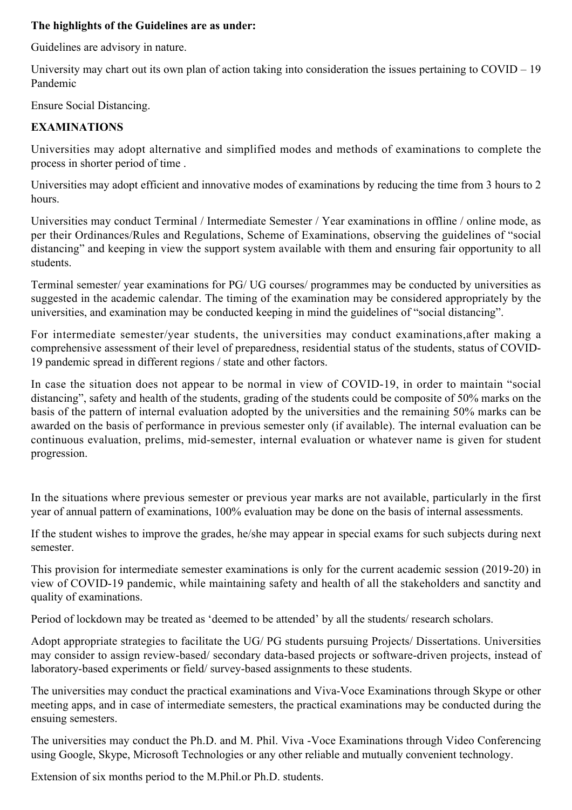#### **The highlights of the Guidelines are as under:**

Guidelines are advisory in nature.

University may chart out its own plan of action taking into consideration the issues pertaining to COVID – 19 Pandemic

Ensure Social Distancing.

#### **EXAMINATIONS**

Universities may adopt alternative and simplified modes and methods of examinations to complete the process in shorter period of time .

Universities may adopt efficient and innovative modes of examinations by reducing the time from 3 hours to 2 hours.

Universities may conduct Terminal / Intermediate Semester / Year examinations in offline / online mode, as per their Ordinances/Rules and Regulations, Scheme of Examinations, observing the guidelines of "social distancing" and keeping in view the support system available with them and ensuring fair opportunity to all students.

Terminal semester/ year examinations for PG/ UG courses/ programmes may be conducted by universities as suggested in the academic calendar. The timing of the examination may be considered appropriately by the universities, and examination may be conducted keeping in mind the guidelines of "social distancing".

For intermediate semester/year students, the universities may conduct examinations,after making a comprehensive assessment of their level of preparedness, residential status of the students, status of COVID-19 pandemic spread in different regions / state and other factors.

In case the situation does not appear to be normal in view of COVID-19, in order to maintain "social distancing", safety and health of the students, grading of the students could be composite of 50% marks on the basis of the pattern of internal evaluation adopted by the universities and the remaining 50% marks can be awarded on the basis of performance in previous semester only (if available). The internal evaluation can be continuous evaluation, prelims, mid-semester, internal evaluation or whatever name is given for student progression.

In the situations where previous semester or previous year marks are not available, particularly in the first year of annual pattern of examinations, 100% evaluation may be done on the basis of internal assessments.

If the student wishes to improve the grades, he/she may appear in special exams for such subjects during next semester.

This provision for intermediate semester examinations is only for the current academic session (2019-20) in view of COVID-19 pandemic, while maintaining safety and health of all the stakeholders and sanctity and quality of examinations.

Period of lockdown may be treated as 'deemed to be attended' by all the students/ research scholars.

Adopt appropriate strategies to facilitate the UG/ PG students pursuing Projects/ Dissertations. Universities may consider to assign review-based/ secondary data-based projects or software-driven projects, instead of laboratory-based experiments or field/ survey-based assignments to these students.

The universities may conduct the practical examinations and Viva-Voce Examinations through Skype or other meeting apps, and in case of intermediate semesters, the practical examinations may be conducted during the ensuing semesters.

The universities may conduct the Ph.D. and M. Phil. Viva -Voce Examinations through Video Conferencing using Google, Skype, Microsoft Technologies or any other reliable and mutually convenient technology.

Extension of six months period to the M.Phil.or Ph.D. students.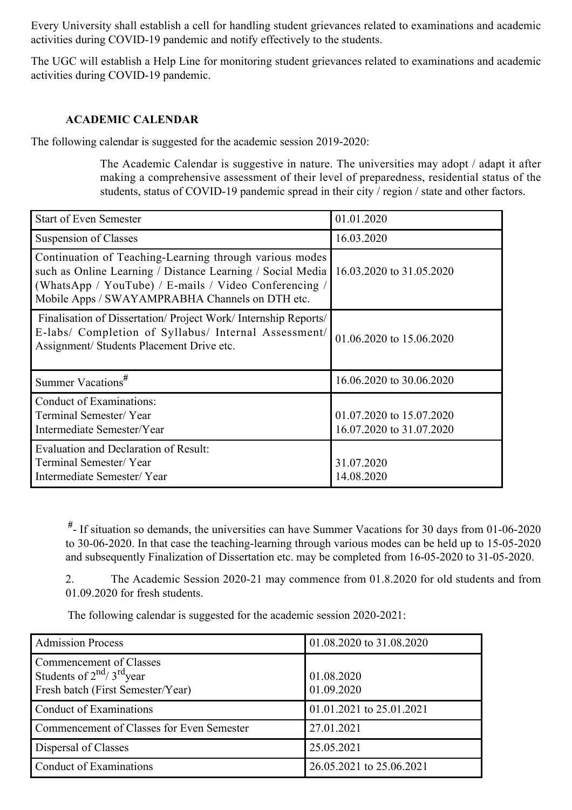Every University shall establish a cell for handling student grievances related to examinations and academic activities during COVID-19 pandemic and notify effectively to the students.

The UGC will establish a Help Line for monitoring student grievances related to examinations and academic activities during COVID-19 pandemic.

#### **ACADEMIC CALENDAR**

The following calendar is suggested for the academic session 2019-2020:

The Academic Calendar is suggestive in nature. The universities may adopt / adapt it after making a comprehensive assessment of their level of preparedness, residential status of the students, status of COVID-19 pandemic spread in their city / region / state and other factors.

| <b>Start of Even Semester</b>                                                                                                                                                                                                     | 01.01.2020                                           |
|-----------------------------------------------------------------------------------------------------------------------------------------------------------------------------------------------------------------------------------|------------------------------------------------------|
| Suspension of Classes                                                                                                                                                                                                             | 16.03.2020                                           |
| Continuation of Teaching-Learning through various modes<br>such as Online Learning / Distance Learning / Social Media<br>(WhatsApp / YouTube) / E-mails / Video Conferencing /<br>Mobile Apps / SWAYAMPRABHA Channels on DTH etc. | 16.03.2020 to 31.05.2020                             |
| Finalisation of Dissertation/ Project Work/ Internship Reports/<br>E-labs/ Completion of Syllabus/ Internal Assessment/<br>Assignment/ Students Placement Drive etc.                                                              | 01.06.2020 to 15.06.2020                             |
| Summer Vacations <sup>#</sup>                                                                                                                                                                                                     | 16.06.2020 to 30.06.2020                             |
| Conduct of Examinations:<br>Terminal Semester/Year<br>Intermediate Semester/Year                                                                                                                                                  | 01.07.2020 to 15.07.2020<br>16.07.2020 to 31.07.2020 |
| Evaluation and Declaration of Result:<br>Terminal Semester/Year<br>Intermediate Semester/Year                                                                                                                                     | 31.07.2020<br>14.08.2020                             |

 **#**- If situation so demands, the universities can have Summer Vacations for 30 days from 01-06-2020 to 30-06-2020. In that case the teaching-learning through various modes can be held up to 15-05-2020 and subsequently Finalization of Dissertation etc. may be completed from 16-05-2020 to 31-05-2020.

2. The Academic Session 2020-21 may commence from 01.8.2020 for old students and from 01.09.2020 for fresh students.

The following calendar is suggested for the academic session 2020-2021:

| <b>Admission Process</b>                                                                   | 01.08.2020 to 31.08.2020 |
|--------------------------------------------------------------------------------------------|--------------------------|
| Commencement of Classes<br>Students of $2nd/3rd$ year<br>Fresh batch (First Semester/Year) | 01.08.2020<br>01.09.2020 |
| Conduct of Examinations                                                                    | 01.01.2021 to 25.01.2021 |
| Commencement of Classes for Even Semester                                                  | 27.01.2021               |
| Dispersal of Classes                                                                       | 25.05.2021               |
| Conduct of Examinations                                                                    | 26.05.2021 to 25.06.2021 |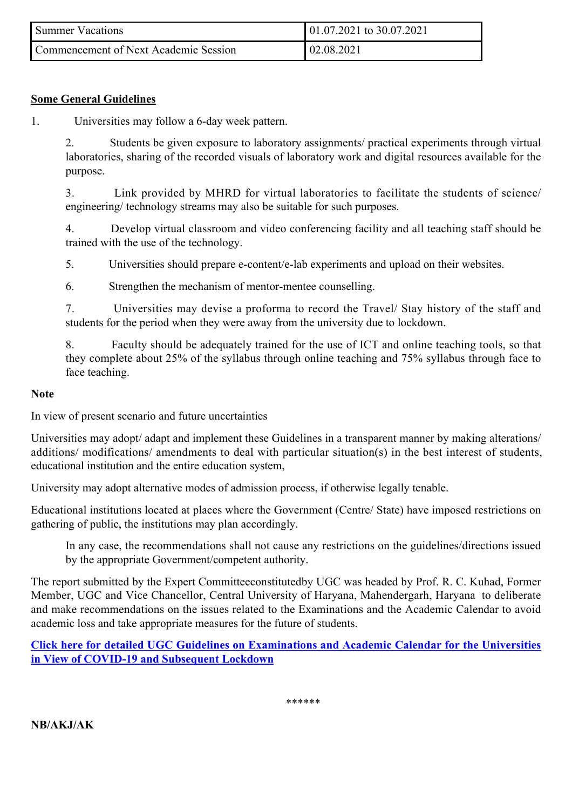| <b>Summer Vacations</b>               | $\vert$ 01.07.2021 to 30.07.2021 |
|---------------------------------------|----------------------------------|
| Commencement of Next Academic Session | 02.08.2021                       |

### **Some General Guidelines**

1. Universities may follow a 6-day week pattern.

2. Students be given exposure to laboratory assignments/ practical experiments through virtual laboratories, sharing of the recorded visuals of laboratory work and digital resources available for the purpose.

3. Link provided by MHRD for virtual laboratories to facilitate the students of science/ engineering/ technology streams may also be suitable for such purposes.

4. Develop virtual classroom and video conferencing facility and all teaching staff should be trained with the use of the technology.

5. Universities should prepare e-content/e-lab experiments and upload on their websites.

6. Strengthen the mechanism of mentor-mentee counselling.

7. Universities may devise a proforma to record the Travel/ Stay history of the staff and students for the period when they were away from the university due to lockdown.

8. Faculty should be adequately trained for the use of ICT and online teaching tools, so that they complete about 25% of the syllabus through online teaching and 75% syllabus through face to face teaching.

#### **Note**

In view of present scenario and future uncertainties

Universities may adopt/ adapt and implement these Guidelines in a transparent manner by making alterations/ additions/ modifications/ amendments to deal with particular situation(s) in the best interest of students, educational institution and the entire education system,

University may adopt alternative modes of admission process, if otherwise legally tenable.

Educational institutions located at places where the Government (Centre/ State) have imposed restrictions on gathering of public, the institutions may plan accordingly.

In any case, the recommendations shall not cause any restrictions on the guidelines/directions issued by the appropriate Government/competent authority.

The report submitted by the Expert Committeeconstitutedby UGC was headed by Prof. R. C. Kuhad, Former Member, UGC and Vice Chancellor, Central University of Haryana, Mahendergarh, Haryana to deliberate and make recommendations on the issues related to the Examinations and the Academic Calendar to avoid academic loss and take appropriate measures for the future of students.

**Click here for detailed UGC Guidelines on Examinations and Academic Calendar for the Universities in View of COVID-19 and Subsequent Lockdown**